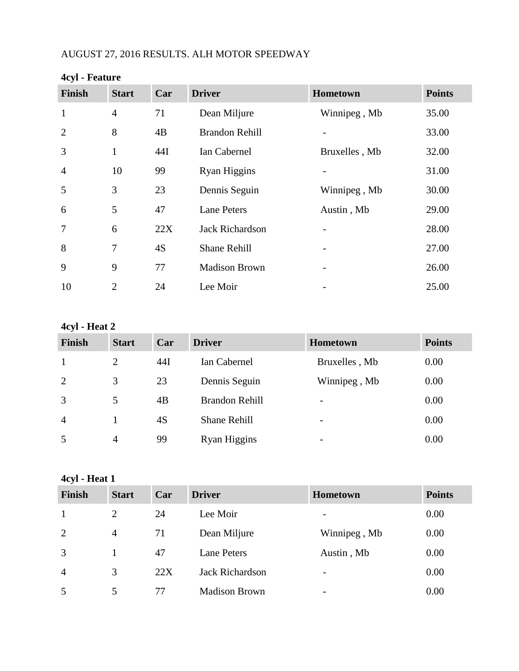# AUGUST 27, 2016 RESULTS. ALH MOTOR SPEEDWAY

| <b>Finish</b>  | <b>Start</b>   | Car | <b>Driver</b>          | Hometown      | <b>Points</b> |
|----------------|----------------|-----|------------------------|---------------|---------------|
| $\mathbf{1}$   | $\overline{4}$ | 71  | Dean Miljure           | Winnipeg, Mb  | 35.00         |
| $\overline{2}$ | 8              | 4B  | <b>Brandon Rehill</b>  |               | 33.00         |
| 3              | $\mathbf{1}$   | 44I | Ian Cabernel           | Bruxelles, Mb | 32.00         |
| $\overline{4}$ | 10             | 99  | Ryan Higgins           |               | 31.00         |
| 5              | 3              | 23  | Dennis Seguin          | Winnipeg, Mb  | 30.00         |
| 6              | 5              | 47  | <b>Lane Peters</b>     | Austin, Mb    | 29.00         |
| $\overline{7}$ | 6              | 22X | <b>Jack Richardson</b> |               | 28.00         |
| 8              | 7              | 4S  | <b>Shane Rehill</b>    |               | 27.00         |
| 9              | 9              | 77  | <b>Madison Brown</b>   |               | 26.00         |
| 10             | $\overline{2}$ | 24  | Lee Moir               |               | 25.00         |

#### **4cyl - Feature**

**4cyl - Heat 2**

| <b>Finish</b>  | <b>Start</b>   | Car | <b>Driver</b>         | <b>Hometown</b>          | <b>Points</b> |
|----------------|----------------|-----|-----------------------|--------------------------|---------------|
|                | 2              | 44I | Ian Cabernel          | Bruxelles, Mb            | 0.00          |
| 2              | 3              | 23  | Dennis Seguin         | Winnipeg, Mb             | 0.00          |
| 3              | 5              | 4B  | <b>Brandon Rehill</b> | $\overline{\phantom{a}}$ | 0.00          |
| $\overline{4}$ |                | 4S  | <b>Shane Rehill</b>   | $\overline{\phantom{a}}$ | 0.00          |
| 5              | $\overline{4}$ | 99  | <b>Ryan Higgins</b>   | $\overline{\phantom{0}}$ | 0.00          |

**4cyl - Heat 1**

| <b>Finish</b>  | <b>Start</b>   | Car | <b>Driver</b>          | Hometown                 | <b>Points</b> |
|----------------|----------------|-----|------------------------|--------------------------|---------------|
|                | 2              | 24  | Lee Moir               | $\overline{\phantom{0}}$ | 0.00          |
| 2              | $\overline{4}$ | 71  | Dean Miljure           | Winnipeg, Mb             | 0.00          |
| 3              |                | 47  | <b>Lane Peters</b>     | Austin, Mb               | 0.00          |
| $\overline{4}$ | 3              | 22X | <b>Jack Richardson</b> | -                        | 0.00          |
| 5              | 5              | 77  | <b>Madison Brown</b>   | -                        | 0.00          |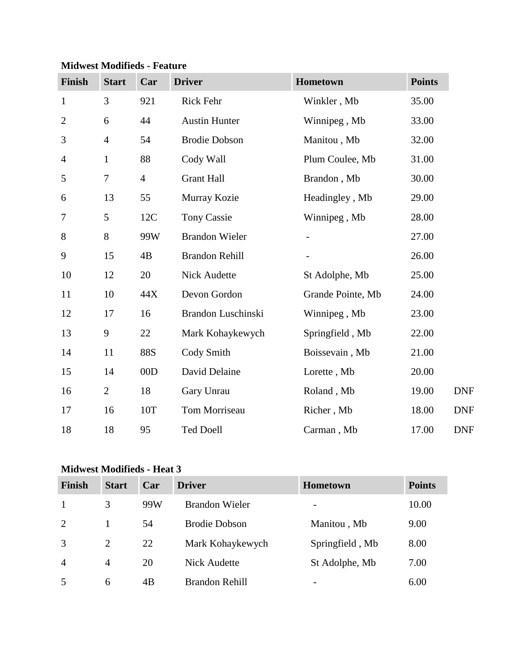| Finish         | <b>Start</b>     | Car            | <b>Driver</b>         | Hometown          | <b>Points</b> |
|----------------|------------------|----------------|-----------------------|-------------------|---------------|
| $\mathbf{1}$   | 3                | 921            | Rick Fehr             | Winkler, Mb       | 35.00         |
| $\overline{2}$ | 6                | 44             | <b>Austin Hunter</b>  | Winnipeg, Mb      | 33.00         |
| 3              | $\overline{4}$   | 54             | <b>Brodie Dobson</b>  | Manitou, Mb       | 32.00         |
| $\overline{4}$ | $\mathbf{1}$     | 88             | Cody Wall             | Plum Coulee, Mb   | 31.00         |
| 5              | $\boldsymbol{7}$ | $\overline{4}$ | <b>Grant Hall</b>     | Brandon, Mb       | 30.00         |
| 6              | 13               | 55             | Murray Kozie          | Headingley, Mb    | 29.00         |
| 7              | 5                | 12C            | <b>Tony Cassie</b>    | Winnipeg, Mb      | 28.00         |
| 8              | 8                | 99W            | <b>Brandon Wieler</b> |                   | 27.00         |
| 9              | 15               | 4B             | <b>Brandon Rehill</b> |                   | 26.00         |
| 10             | 12               | 20             | Nick Audette          | St Adolphe, Mb    | 25.00         |
| 11             | 10               | 44X            | Devon Gordon          | Grande Pointe, Mb | 24.00         |
| 12             | 17               | 16             | Brandon Luschinski    | Winnipeg, Mb      | 23.00         |
| 13             | 9                | 22             | Mark Kohaykewych      | Springfield, Mb   | 22.00         |
| 14             | 11               | <b>88S</b>     | Cody Smith            | Boissevain, Mb    | 21.00         |
| 15             | 14               | 00D            | David Delaine         | Lorette, Mb       | 20.00         |
| 16             | $\mathbf{2}$     | 18             | Gary Unrau            | Roland, Mb        | 19.00         |
| 17             | 16               | 10T            | Tom Morriseau         | Richer, Mb        | 18.00         |
| 18             | 18               | 95             | <b>Ted Doell</b>      | Carman, Mb        | 17.00         |

### **Midwest Modifieds - Feature**

## **Midwest Modifieds - Heat 3**

| <b>Finish</b>  | <b>Start</b>   | Car | <b>Driver</b>         | <b>Hometown</b> | <b>Points</b> |
|----------------|----------------|-----|-----------------------|-----------------|---------------|
| 1              | 3              | 99W | <b>Brandon Wieler</b> |                 | 10.00         |
| 2              |                | 54  | <b>Brodie Dobson</b>  | Manitou, Mb     | 9.00          |
| 3              | $\overline{2}$ | 22  | Mark Kohaykewych      | Springfield, Mb | 8.00          |
| $\overline{4}$ | $\overline{4}$ | 20  | <b>Nick Audette</b>   | St Adolphe, Mb  | 7.00          |
| 5              | 6              | 4B  | <b>Brandon Rehill</b> |                 | 6.00          |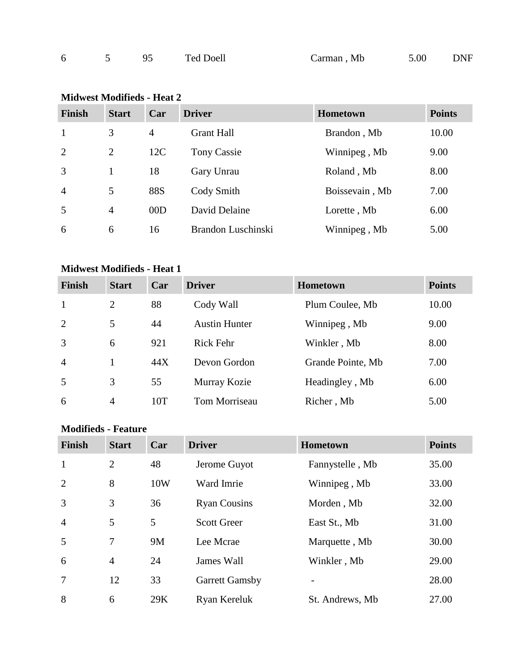| Carman, Mb |  |  |  | Ted Doell |  | 5.00 | <b>DNF</b> |
|------------|--|--|--|-----------|--|------|------------|
|------------|--|--|--|-----------|--|------|------------|

### **Midwest Modifieds - Heat 2**

| <b>Finish</b>  | <b>Start</b>   | Car        | <b>Driver</b>      | <b>Hometown</b> | <b>Points</b> |
|----------------|----------------|------------|--------------------|-----------------|---------------|
| $\mathbf{1}$   | 3              | 4          | <b>Grant Hall</b>  | Brandon, Mb     | 10.00         |
| 2              | $\overline{2}$ | 12C        | <b>Tony Cassie</b> | Winnipeg, Mb    | 9.00          |
| 3              |                | 18         | Gary Unrau         | Roland, Mb      | 8.00          |
| $\overline{4}$ | 5              | <b>88S</b> | Cody Smith         | Boissevain, Mb  | 7.00          |
| 5              | $\overline{4}$ | 00D        | David Delaine      | Lorette, Mb     | 6.00          |
| 6              | 6              | 16         | Brandon Luschinski | Winnipeg, Mb    | 5.00          |

## **Midwest Modifieds - Heat 1**

| <b>Finish</b>  | <b>Start</b>   | Car | <b>Driver</b>        | <b>Hometown</b>   | <b>Points</b> |
|----------------|----------------|-----|----------------------|-------------------|---------------|
| -1             | 2              | 88  | Cody Wall            | Plum Coulee, Mb   | 10.00         |
| 2              | 5              | 44  | <b>Austin Hunter</b> | Winnipeg, Mb      | 9.00          |
| 3              | 6              | 921 | <b>Rick Fehr</b>     | Winkler, Mb       | 8.00          |
| $\overline{4}$ |                | 44X | Devon Gordon         | Grande Pointe, Mb | 7.00          |
| .5             | 3              | 55  | Murray Kozie         | Headingley, Mb    | 6.00          |
| 6              | $\overline{4}$ | 10T | Tom Morriseau        | Richer, Mb        | 5.00          |

### **Modifieds - Feature**

| <b>Finish</b>  | <b>Start</b>   | Car       | <b>Driver</b>         | <b>Hometown</b> | <b>Points</b> |
|----------------|----------------|-----------|-----------------------|-----------------|---------------|
| $\mathbf{1}$   | $\overline{2}$ | 48        | Jerome Guyot          | Fannystelle, Mb | 35.00         |
| $\overline{2}$ | 8              | 10W       | Ward Imrie            | Winnipeg, Mb    | 33.00         |
| 3              | 3              | 36        | <b>Ryan Cousins</b>   | Morden, Mb      | 32.00         |
| $\overline{4}$ | 5              | 5         | <b>Scott Greer</b>    | East St., Mb    | 31.00         |
| 5              | 7              | <b>9M</b> | Lee Mcrae             | Marquette, Mb   | 30.00         |
| 6              | $\overline{4}$ | 24        | James Wall            | Winkler, Mb     | 29.00         |
| $\overline{7}$ | 12             | 33        | <b>Garrett Gamsby</b> |                 | 28.00         |
| 8              | 6              | 29K       | Ryan Kereluk          | St. Andrews, Mb | 27.00         |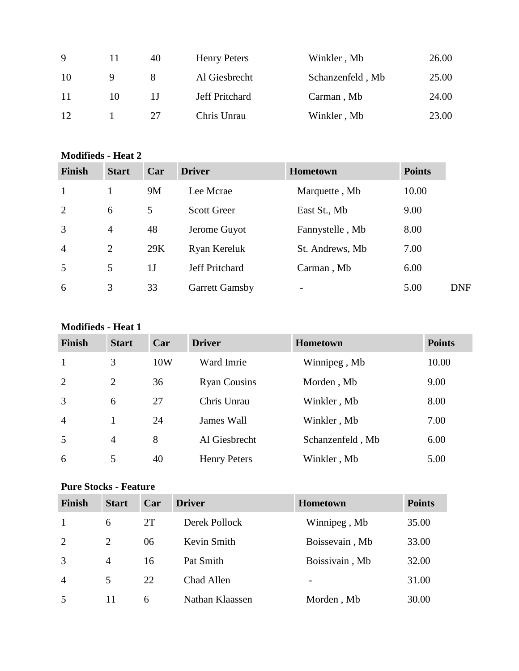| 9  |    | 40 | <b>Henry Peters</b> | Winkler, Mb      | 26.00 |
|----|----|----|---------------------|------------------|-------|
| 10 |    |    | Al Giesbrecht       | Schanzenfeld, Mb | 25.00 |
| 11 | 10 |    | Jeff Pritchard      | Carman, Mb       | 24.00 |
| 12 |    | 27 | Chris Unrau         | Winkler, Mb      | 23.00 |

### **Modifieds - Heat 2**

| <b>Finish</b>  | <b>Start</b>   | Car | <b>Driver</b>         | <b>Hometown</b> | <b>Points</b> |            |
|----------------|----------------|-----|-----------------------|-----------------|---------------|------------|
|                |                | 9M  | Lee Mcrae             | Marquette, Mb   | 10.00         |            |
| 2              | 6              | 5   | <b>Scott Greer</b>    | East St., Mb    | 9.00          |            |
| 3              | $\overline{4}$ | 48  | Jerome Guyot          | Fannystelle, Mb | 8.00          |            |
| $\overline{4}$ | $\overline{2}$ | 29K | Ryan Kereluk          | St. Andrews, Mb | 7.00          |            |
| 5              | 5              | 1J  | Jeff Pritchard        | Carman, Mb      | 6.00          |            |
| 6              | 3              | 33  | <b>Garrett Gamsby</b> |                 | 5.00          | <b>DNF</b> |

#### **Modifieds - Heat 1**

| <b>Finish</b>  | <b>Start</b>   | Car | <b>Driver</b>       | <b>Hometown</b>  | <b>Points</b> |
|----------------|----------------|-----|---------------------|------------------|---------------|
| $\mathbf{1}$   | 3              | 10W | Ward Imrie          | Winnipeg, Mb     | 10.00         |
| 2              | 2              | 36  | <b>Ryan Cousins</b> | Morden, Mb       | 9.00          |
| 3              | 6              | 27  | Chris Unrau         | Winkler, Mb      | 8.00          |
| $\overline{4}$ |                | 24  | James Wall          | Winkler, Mb      | 7.00          |
| 5              | $\overline{4}$ | 8   | Al Giesbrecht       | Schanzenfeld, Mb | 6.00          |
| 6              | 5              | 40  | <b>Henry Peters</b> | Winkler, Mb      | 5.00          |

## **Pure Stocks - Feature**

| <b>Finish</b>  | <b>Start</b>   | Car | <b>Driver</b>   | Hometown       | <b>Points</b> |
|----------------|----------------|-----|-----------------|----------------|---------------|
|                | 6              | 2T  | Derek Pollock   | Winnipeg, Mb   | 35.00         |
| 2              | 2              | 06  | Kevin Smith     | Boissevain, Mb | 33.00         |
| 3              | $\overline{4}$ | 16  | Pat Smith       | Boissivain, Mb | 32.00         |
| $\overline{4}$ | 5              | 22  | Chad Allen      | $\overline{a}$ | 31.00         |
| 5              | 11             | 6   | Nathan Klaassen | Morden, Mb     | 30.00         |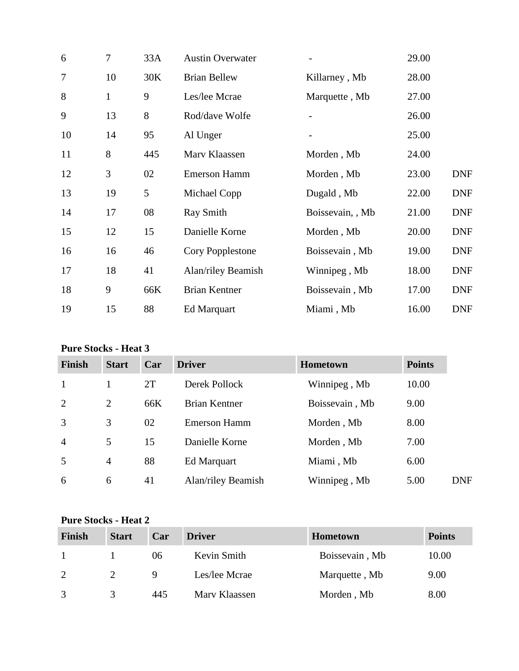| 6  | 7            | 33A | <b>Austin Overwater</b> |                  | 29.00 |            |
|----|--------------|-----|-------------------------|------------------|-------|------------|
| 7  | 10           | 30K | <b>Brian Bellew</b>     | Killarney, Mb    | 28.00 |            |
| 8  | $\mathbf{1}$ | 9   | Les/lee Mcrae           | Marquette, Mb    | 27.00 |            |
| 9  | 13           | 8   | Rod/dave Wolfe          |                  | 26.00 |            |
| 10 | 14           | 95  | Al Unger                |                  | 25.00 |            |
| 11 | 8            | 445 | Marv Klaassen           | Morden, Mb       | 24.00 |            |
| 12 | 3            | 02  | <b>Emerson Hamm</b>     | Morden, Mb       | 23.00 | <b>DNF</b> |
| 13 | 19           | 5   | Michael Copp            | Dugald, Mb       | 22.00 | <b>DNF</b> |
| 14 | 17           | 08  | Ray Smith               | Boissevain, , Mb | 21.00 | <b>DNF</b> |
| 15 | 12           | 15  | Danielle Korne          | Morden, Mb       | 20.00 | <b>DNF</b> |
| 16 | 16           | 46  | Cory Popplestone        | Boissevain, Mb   | 19.00 | <b>DNF</b> |
| 17 | 18           | 41  | Alan/riley Beamish      | Winnipeg, Mb     | 18.00 | <b>DNF</b> |
| 18 | 9            | 66K | <b>Brian Kentner</b>    | Boissevain, Mb   | 17.00 | <b>DNF</b> |
| 19 | 15           | 88  | <b>Ed Marquart</b>      | Miami, Mb        | 16.00 | <b>DNF</b> |

# **Pure Stocks - Heat 3**

| <b>Finish</b>  | <b>Start</b>   | Car | <b>Driver</b>       | <b>Hometown</b> | <b>Points</b> |
|----------------|----------------|-----|---------------------|-----------------|---------------|
| $\mathbf{1}$   |                | 2T  | Derek Pollock       | Winnipeg, Mb    | 10.00         |
| 2              | 2              | 66K | Brian Kentner       | Boissevain, Mb  | 9.00          |
| 3              | 3              | 02  | <b>Emerson Hamm</b> | Morden, Mb      | 8.00          |
| $\overline{4}$ | 5              | 15  | Danielle Korne      | Morden, Mb      | 7.00          |
| 5              | $\overline{4}$ | 88  | Ed Marquart         | Miami, Mb       | 6.00          |
| 6              | 6              | 41  | Alan/riley Beamish  | Winnipeg, Mb    | 5.00          |

### **Pure Stocks - Heat 2**

| Finish | <b>Start</b> | Car | <b>Driver</b> | <b>Hometown</b> | <b>Points</b> |
|--------|--------------|-----|---------------|-----------------|---------------|
|        |              | 06  | Kevin Smith   | Boissevain, Mb  | 10.00         |
| 2      |              | Q   | Les/lee Mcrae | Marquette, Mb   | 9.00          |
|        |              | 445 | Mary Klaassen | Morden, Mb      | 8.00          |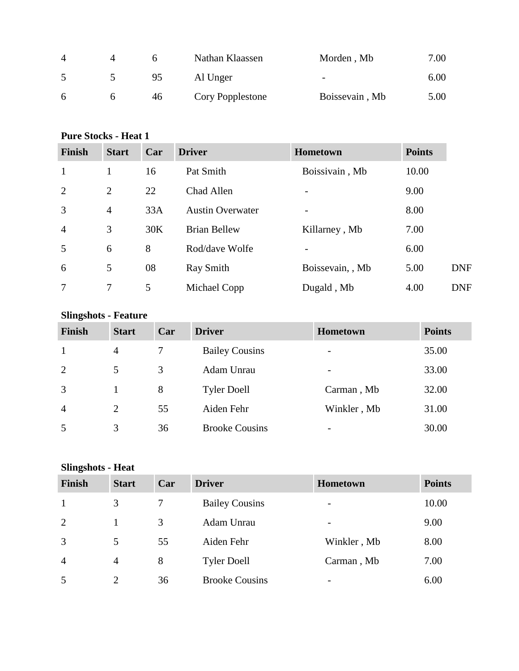| $\overline{4}$ |    | Nathan Klaassen  | Morden, Mb               | 7.00 |
|----------------|----|------------------|--------------------------|------|
|                | 95 | Al Unger         | $\overline{\phantom{m}}$ | 6.00 |
| 6              | 46 | Cory Popplestone | Boissevain, Mb           | 5.00 |

### **Pure Stocks - Heat 1**

| <b>Finish</b>  | <b>Start</b>   | Car | <b>Driver</b>           | <b>Hometown</b>  | <b>Points</b> |            |
|----------------|----------------|-----|-------------------------|------------------|---------------|------------|
| $\mathbf{1}$   | 1              | 16  | Pat Smith               | Boissivain, Mb   | 10.00         |            |
| 2              | $\overline{2}$ | 22  | Chad Allen              |                  | 9.00          |            |
| $\overline{3}$ | $\overline{4}$ | 33A | <b>Austin Overwater</b> |                  | 8.00          |            |
| $\overline{4}$ | 3              | 30K | <b>Brian Bellew</b>     | Killarney, Mb    | 7.00          |            |
| 5              | 6              | 8   | Rod/dave Wolfe          |                  | 6.00          |            |
| 6              | 5              | 08  | Ray Smith               | Boissevain, , Mb | 5.00          | <b>DNF</b> |
| 7              | 7              | 5   | Michael Copp            | Dugald, Mb       | 4.00          | <b>DNF</b> |

# **Slingshots - Feature**

| Finish         | <b>Start</b>   | Car | <b>Driver</b>         | <b>Hometown</b>          | <b>Points</b> |
|----------------|----------------|-----|-----------------------|--------------------------|---------------|
| 1              | 4              |     | <b>Bailey Cousins</b> | $\overline{\phantom{0}}$ | 35.00         |
| 2              | 5              | 3   | Adam Unrau            | $\overline{\phantom{a}}$ | 33.00         |
| 3              |                | 8   | <b>Tyler Doell</b>    | Carman, Mb               | 32.00         |
| $\overline{4}$ | $\overline{2}$ | 55  | Aiden Fehr            | Winkler, Mb              | 31.00         |
| 5              | 3              | 36  | <b>Brooke Cousins</b> | $\overline{\phantom{a}}$ | 30.00         |

## **Slingshots - Heat**

| Finish         | <b>Start</b>   | Car | <b>Driver</b>         | <b>Hometown</b>          | <b>Points</b> |
|----------------|----------------|-----|-----------------------|--------------------------|---------------|
| -1             | 3              |     | <b>Bailey Cousins</b> | -                        | 10.00         |
| 2              |                | 3   | Adam Unrau            | $\overline{\phantom{0}}$ | 9.00          |
| 3              | 5              | 55  | Aiden Fehr            | Winkler, Mb              | 8.00          |
| $\overline{4}$ | $\overline{4}$ | 8   | <b>Tyler Doell</b>    | Carman, Mb               | 7.00          |
| 5              | $\overline{2}$ | 36  | <b>Brooke Cousins</b> | -                        | 6.00          |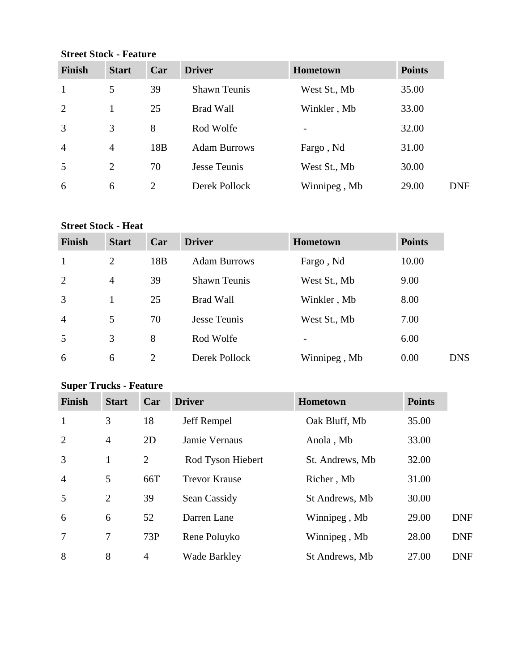**Street Stock - Feature**

| <b>Finish</b>  | <b>Start</b>   | Car             | <b>Driver</b>       | <b>Hometown</b> | <b>Points</b> |
|----------------|----------------|-----------------|---------------------|-----------------|---------------|
| $\mathbf{1}$   | 5              | 39              | <b>Shawn Teunis</b> | West St., Mb    | 35.00         |
| 2              |                | 25              | <b>Brad Wall</b>    | Winkler, Mb     | 33.00         |
| 3              | 3              | 8               | Rod Wolfe           |                 | 32.00         |
| $\overline{4}$ | $\overline{4}$ | 18 <sub>B</sub> | <b>Adam Burrows</b> | Fargo, Nd       | 31.00         |
| 5              | 2              | 70              | Jesse Teunis        | West St., Mb    | 30.00         |
| 6              | 6              | 2               | Derek Pollock       | Winnipeg, Mb    | 29.00         |

## **Street Stock - Heat**

| <b>Finish</b>  | <b>Start</b>   | Car             | <b>Driver</b>       | Hometown     | <b>Points</b> |            |
|----------------|----------------|-----------------|---------------------|--------------|---------------|------------|
| $\mathbf{1}$   | 2              | 18 <sub>B</sub> | <b>Adam Burrows</b> | Fargo, Nd    | 10.00         |            |
| 2              | $\overline{4}$ | 39              | <b>Shawn Teunis</b> | West St., Mb | 9.00          |            |
| 3              |                | 25              | <b>Brad Wall</b>    | Winkler, Mb  | 8.00          |            |
| $\overline{4}$ | 5              | 70              | Jesse Teunis        | West St., Mb | 7.00          |            |
| 5              | 3              | 8               | Rod Wolfe           |              | 6.00          |            |
| 6              | 6              | 2               | Derek Pollock       | Winnipeg, Mb | 0.00          | <b>DNS</b> |

# **Super Trucks - Feature**

| <b>Finish</b>  | <b>Start</b>   | Car            | <b>Driver</b>        | Hometown        | <b>Points</b> |            |
|----------------|----------------|----------------|----------------------|-----------------|---------------|------------|
| $\mathbf{1}$   | 3              | 18             | Jeff Rempel          | Oak Bluff, Mb   | 35.00         |            |
| 2              | $\overline{4}$ | 2D             | Jamie Vernaus        | Anola, Mb       | 33.00         |            |
| 3              | 1              | 2              | Rod Tyson Hiebert    | St. Andrews, Mb | 32.00         |            |
| $\overline{4}$ | 5              | 66T            | <b>Trevor Krause</b> | Richer, Mb      | 31.00         |            |
| 5              | 2              | 39             | Sean Cassidy         | St Andrews, Mb  | 30.00         |            |
| 6              | 6              | 52             | Darren Lane          | Winnipeg, Mb    | 29.00         | <b>DNF</b> |
| 7              | $\overline{7}$ | 73P            | Rene Poluyko         | Winnipeg, Mb    | 28.00         | <b>DNF</b> |
| 8              | 8              | $\overline{4}$ | <b>Wade Barkley</b>  | St Andrews, Mb  | 27.00         | <b>DNF</b> |